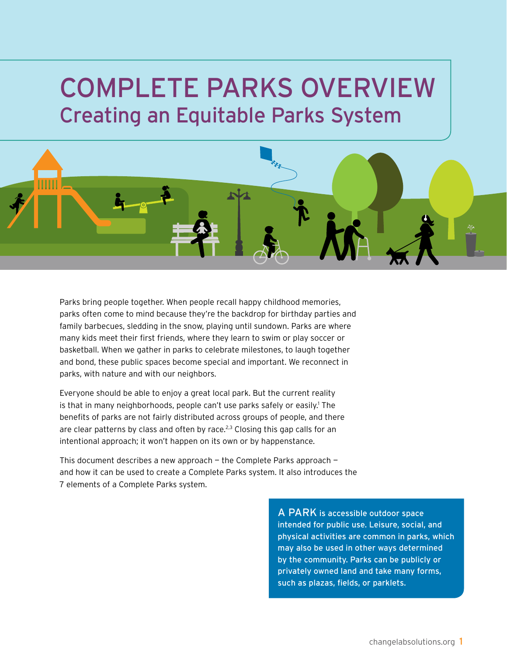# Complete Parks overview Creating an Equitable Parks System



Parks bring people together. When people recall happy childhood memories, parks often come to mind because they're the backdrop for birthday parties and family barbecues, sledding in the snow, playing until sundown. Parks are where many kids meet their first friends, where they learn to swim or play soccer or basketball. When we gather in parks to celebrate milestones, to laugh together and bond, these public spaces become special and important. We reconnect in parks, with nature and with our neighbors.

Everyone should be able to enjoy a great local park. But the current reality is that in many neighborhoods, people can't use parks safely or easily.<sup>1</sup> The benefits of parks are not fairly distributed across groups of people, and there are clear patterns by class and often by race.<sup>2,3</sup> Closing this gap calls for an intentional approach; it won't happen on its own or by happenstance.

This document describes a new approach — the Complete Parks approach and how it can be used to create a Complete Parks system. It also introduces the 7 elements of a Complete Parks system.

> A PARK is accessible outdoor space intended for public use. Leisure, social, and physical activities are common in parks, which may also be used in other ways determined by the community. Parks can be publicly or privately owned land and take many forms, such as plazas, fields, or parklets.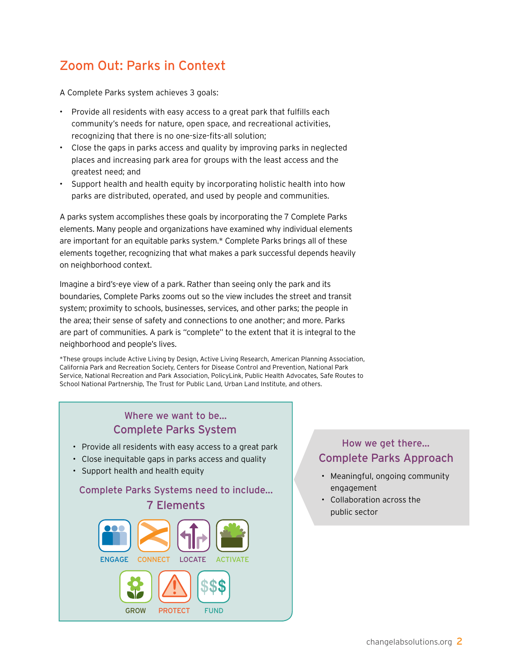# Zoom Out: Parks in Context

A Complete Parks system achieves 3 goals:

- Provide all residents with easy access to a great park that fulfills each community's needs for nature, open space, and recreational activities, recognizing that there is no one-size-fits-all solution;
- Close the gaps in parks access and quality by improving parks in neglected places and increasing park area for groups with the least access and the greatest need; and
- Support health and health equity by incorporating holistic health into how parks are distributed, operated, and used by people and communities.

A parks system accomplishes these goals by incorporating the 7 Complete Parks elements. Many people and organizations have examined why individual elements are important for an equitable parks system.\* Complete Parks brings all of these elements together, recognizing that what makes a park successful depends heavily on neighborhood context.

Imagine a bird's-eye view of a park. Rather than seeing only the park and its boundaries, Complete Parks zooms out so the view includes the street and transit system; proximity to schools, businesses, services, and other parks; the people in the area; their sense of safety and connections to one another; and more. Parks are part of communities. A park is "complete" to the extent that it is integral to the neighborhood and people's lives.

\*These groups include Active Living by Design, Active Living Research, American Planning Association, California Park and Recreation Society, Centers for Disease Control and Prevention, National Park Service, National Recreation and Park Association, PolicyLink, Public Health Advocates, Safe Routes to School National Partnership, The Trust for Public Land, Urban Land Institute, and others.



# Complete Parks Approach How we get there...

- Meaningful, ongoing community engagement
- Collaboration across the public sector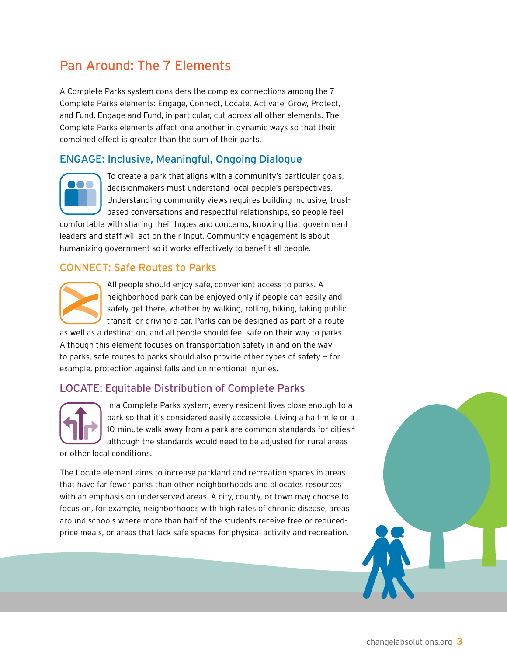# Pan Around: The 7 Elements

A Complete Parks system considers the complex connections among the 7 Complete Parks elements: Engage, Connect, Locate, Activate, Grow, Protect, and Fund. Engage and Fund, in particular, cut across all other elements. The Complete Parks elements affect one another in dynamic ways so that their combined effect is greater than the sum of their parts.

# Engage: Inclusive, Meaningful, Ongoing Dialogue



To create a park that aligns with a community's particular goals, decisionmakers must understand local people's perspectives. Understanding community views requires building inclusive, trustbased conversations and respectful relationships, so people feel

comfortable with sharing their hopes and concerns, knowing that government leaders and staff will act on their input. Community engagement is about humanizing government so it works effectively to benefit all people.

## Connect: Safe Routes to Parks



All people should enjoy safe, convenient access to parks. A neighborhood park can be enjoyed only if people can easily and safely get there, whether by walking, rolling, biking, taking public transit, or driving a car. Parks can be designed as part of a route

as well as a destination, and all people should feel safe on their way to parks. Although this element focuses on transportation safety in and on the way to parks, safe routes to parks should also provide other types of safety — for example, protection against falls and unintentional injuries.

# Locate: Equitable Distribution of Complete Parks



In a Complete Parks system, every resident lives close enough to a park so that it's considered easily accessible. Living a half mile or a 10-minute walk away from a park are common standards for cities,<sup>4</sup> although the standards would need to be adjusted for rural areas

or other local conditions.

The Locate element aims to increase parkland and recreation spaces in areas that have far fewer parks than other neighborhoods and allocates resources with an emphasis on underserved areas. A city, county, or town may choose to focus on, for example, neighborhoods with high rates of chronic disease, areas around schools where more than half of the students receive free or reducedprice meals, or areas that lack safe spaces for physical activity and recreation.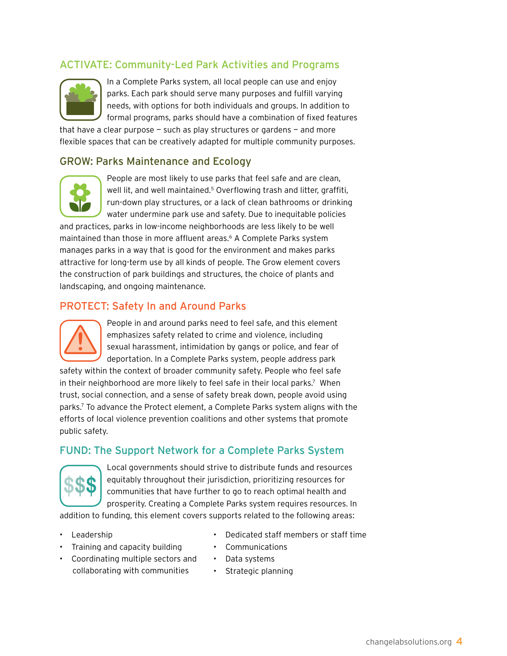# ACTIVATE: Community-Led Park Activities and Programs



In a Complete Parks system, all local people can use and enjoy parks. Each park should serve many purposes and fulfill varying needs, with options for both individuals and groups. In addition to formal programs, parks should have a combination of fixed features

that have a clear purpose  $-$  such as play structures or gardens  $-$  and more flexible spaces that can be creatively adapted for multiple community purposes.

#### Grow: Parks Maintenance and Ecology



People are most likely to use parks that feel safe and are clean, well lit, and well maintained.<sup>5</sup> Overflowing trash and litter, graffiti, run-down play structures, or a lack of clean bathrooms or drinking water undermine park use and safety. Due to inequitable policies

and practices, parks in low-income neighborhoods are less likely to be well maintained than those in more affluent areas.6 A Complete Parks system manages parks in a way that is good for the environment and makes parks attractive for long-term use by all kinds of people. The Grow element covers the construction of park buildings and structures, the choice of plants and landscaping, and ongoing maintenance.

#### PROTECT: Safety In and Around Parks



People in and around parks need to feel safe, and this element emphasizes safety related to crime and violence, including sexual harassment, intimidation by gangs or police, and fear of deportation. In a Complete Parks system, people address park

safety within the context of broader community safety. People who feel safe in their neighborhood are more likely to feel safe in their local parks.<sup>7</sup> When trust, social connection, and a sense of safety break down, people avoid using parks.7 To advance the Protect element, a Complete Parks system aligns with the efforts of local violence prevention coalitions and other systems that promote public safety.

## FUND: The Support Network for a Complete Parks System



Local governments should strive to distribute funds and resources equitably throughout their jurisdiction, prioritizing resources for communities that have further to go to reach optimal health and prosperity. Creating a Complete Parks system requires resources. In

addition to funding, this element covers supports related to the following areas:

- Leadership
- Training and capacity building
- Coordinating multiple sectors and collaborating with communities
- Dedicated staff members or staff time
- Communications
- Data systems
- Strategic planning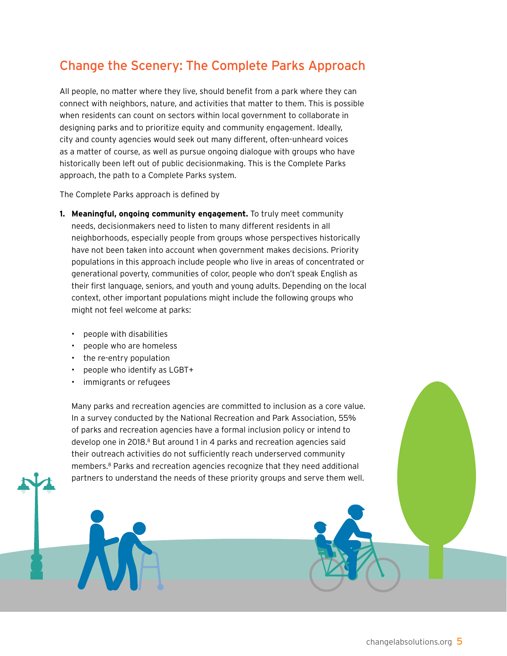# Change the Scenery: The Complete Parks Approach

All people, no matter where they live, should benefit from a park where they can connect with neighbors, nature, and activities that matter to them. This is possible when residents can count on sectors within local government to collaborate in designing parks and to prioritize equity and community engagement. Ideally, city and county agencies would seek out many different, often-unheard voices as a matter of course, as well as pursue ongoing dialogue with groups who have historically been left out of public decisionmaking. This is the Complete Parks approach, the path to a Complete Parks system.

The Complete Parks approach is defined by

- **1. Meaningful, ongoing community engagement.** To truly meet community needs, decisionmakers need to listen to many different residents in all neighborhoods, especially people from groups whose perspectives historically have not been taken into account when government makes decisions. Priority populations in this approach include people who live in areas of concentrated or generational poverty, communities of color, people who don't speak English as their first language, seniors, and youth and young adults. Depending on the local context, other important populations might include the following groups who might not feel welcome at parks:
	- people with disabilities
	- people who are homeless
	- the re-entry population
	- people who identify as LGBT+
	- immigrants or refugees

Many parks and recreation agencies are committed to inclusion as a core value. In a survey conducted by the National Recreation and Park Association, 55% of parks and recreation agencies have a formal inclusion policy or intend to develop one in 2018.<sup>8</sup> But around 1 in 4 parks and recreation agencies said their outreach activities do not sufficiently reach underserved community members.8 Parks and recreation agencies recognize that they need additional partners to understand the needs of these priority groups and serve them well.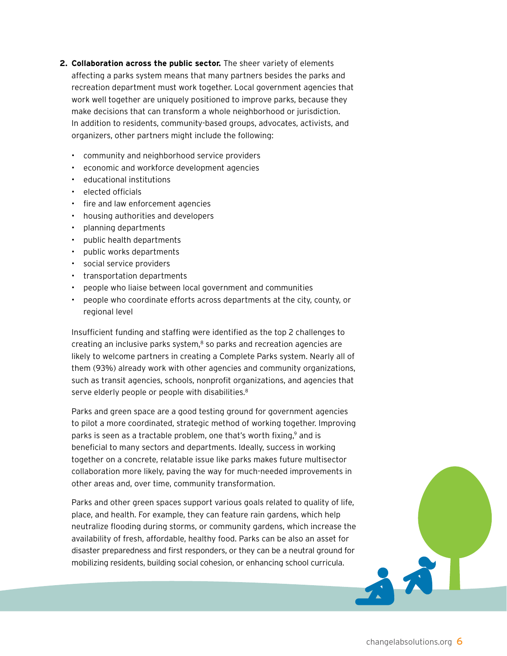- **2. Collaboration across the public sector.** The sheer variety of elements affecting a parks system means that many partners besides the parks and recreation department must work together. Local government agencies that work well together are uniquely positioned to improve parks, because they make decisions that can transform a whole neighborhood or jurisdiction. In addition to residents, community-based groups, advocates, activists, and organizers, other partners might include the following:
	- community and neighborhood service providers
	- economic and workforce development agencies
	- educational institutions
	- elected officials
	- fire and law enforcement agencies
	- housing authorities and developers
	- planning departments
	- public health departments
	- public works departments
	- social service providers
	- transportation departments
	- people who liaise between local government and communities
	- people who coordinate efforts across departments at the city, county, or regional level

Insufficient funding and staffing were identified as the top 2 challenges to creating an inclusive parks system, $8$  so parks and recreation agencies are likely to welcome partners in creating a Complete Parks system. Nearly all of them (93%) already work with other agencies and community organizations, such as transit agencies, schools, nonprofit organizations, and agencies that serve elderly people or people with disabilities.<sup>8</sup>

Parks and green space are a good testing ground for government agencies to pilot a more coordinated, strategic method of working together. Improving parks is seen as a tractable problem, one that's worth fixing,<sup>9</sup> and is beneficial to many sectors and departments. Ideally, success in working together on a concrete, relatable issue like parks makes future multisector collaboration more likely, paving the way for much-needed improvements in other areas and, over time, community transformation.

Parks and other green spaces support various goals related to quality of life, place, and health. For example, they can feature rain gardens, which help neutralize flooding during storms, or community gardens, which increase the availability of fresh, affordable, healthy food. Parks can be also an asset for disaster preparedness and first responders, or they can be a neutral ground for mobilizing residents, building social cohesion, or enhancing school curricula.

小人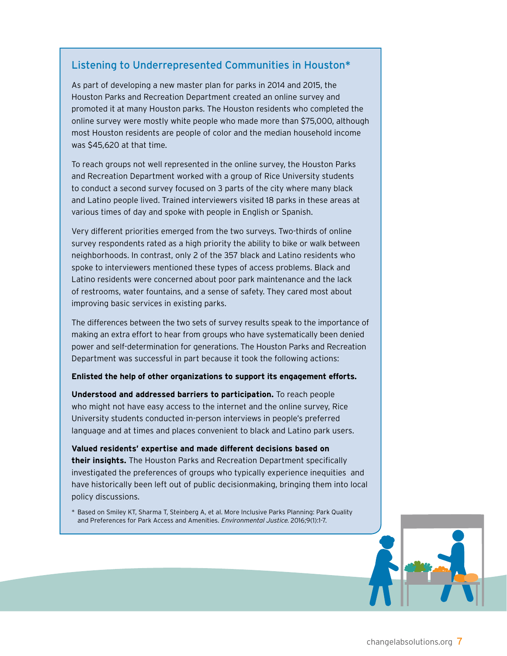### Listening to Underrepresented Communities in Houston\*

As part of developing a new master plan for parks in 2014 and 2015, the Houston Parks and Recreation Department created an online survey and promoted it at many Houston parks. The Houston residents who completed the online survey were mostly white people who made more than \$75,000, although most Houston residents are people of color and the median household income was \$45,620 at that time.

To reach groups not well represented in the online survey, the Houston Parks and Recreation Department worked with a group of Rice University students to conduct a second survey focused on 3 parts of the city where many black and Latino people lived. Trained interviewers visited 18 parks in these areas at various times of day and spoke with people in English or Spanish.

Very different priorities emerged from the two surveys. Two-thirds of online survey respondents rated as a high priority the ability to bike or walk between neighborhoods. In contrast, only 2 of the 357 black and Latino residents who spoke to interviewers mentioned these types of access problems. Black and Latino residents were concerned about poor park maintenance and the lack of restrooms, water fountains, and a sense of safety. They cared most about improving basic services in existing parks.

The differences between the two sets of survey results speak to the importance of making an extra effort to hear from groups who have systematically been denied power and self-determination for generations. The Houston Parks and Recreation Department was successful in part because it took the following actions:

#### **Enlisted the help of other organizations to support its engagement efforts.**

**Understood and addressed barriers to participation.** To reach people who might not have easy access to the internet and the online survey, Rice University students conducted in-person interviews in people's preferred language and at times and places convenient to black and Latino park users.

**Valued residents' expertise and made different decisions based on their insights.** The Houston Parks and Recreation Department specifically investigated the preferences of groups who typically experience inequities and have historically been left out of public decisionmaking, bringing them into local policy discussions.

\* Based on Smiley KT, Sharma T, Steinberg A, et al. More Inclusive Parks Planning: Park Quality and Preferences for Park Access and Amenities. Environmental Justice. 2016;9(1):1-7.

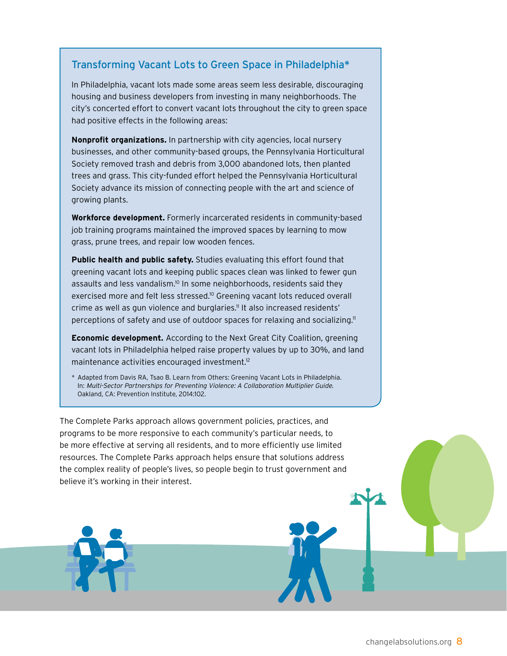## Transforming Vacant Lots to Green Space in Philadelphia\*

In Philadelphia, vacant lots made some areas seem less desirable, discouraging housing and business developers from investing in many neighborhoods. The city's concerted effort to convert vacant lots throughout the city to green space had positive effects in the following areas:

**Nonprofit organizations.** In partnership with city agencies, local nursery businesses, and other community-based groups, the Pennsylvania Horticultural Society removed trash and debris from 3,000 abandoned lots, then planted trees and grass. This city-funded effort helped the Pennsylvania Horticultural Society advance its mission of connecting people with the art and science of growing plants.

**Workforce development.** Formerly incarcerated residents in community-based job training programs maintained the improved spaces by learning to mow grass, prune trees, and repair low wooden fences.

**Public health and public safety.** Studies evaluating this effort found that greening vacant lots and keeping public spaces clean was linked to fewer gun assaults and less vandalism.<sup>10</sup> In some neighborhoods, residents said they exercised more and felt less stressed.<sup>10</sup> Greening vacant lots reduced overall crime as well as gun violence and burglaries.<sup>11</sup> It also increased residents' perceptions of safety and use of outdoor spaces for relaxing and socializing.<sup>11</sup>

**Economic development.** According to the Next Great City Coalition, greening vacant lots in Philadelphia helped raise property values by up to 30%, and land maintenance activities encouraged investment.12

\* Adapted from Davis RA, Tsao B. Learn from Others: Greening Vacant Lots in Philadelphia. In: Multi-Sector Partnerships for Preventing Violence: A Collaboration Multiplier Guide. Oakland, CA: Prevention Institute, 2014:102.

The Complete Parks approach allows government policies, practices, and programs to be more responsive to each community's particular needs, to be more effective at serving all residents, and to more efficiently use limited resources. The Complete Parks approach helps ensure that solutions address the complex reality of people's lives, so people begin to trust government and believe it's working in their interest.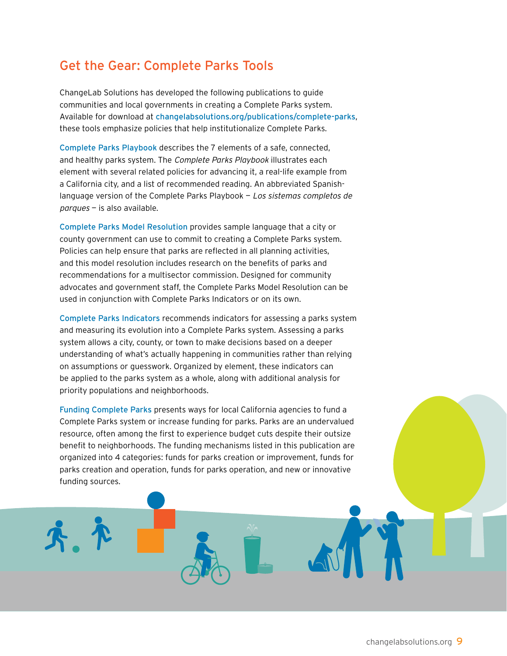# Get the Gear: Complete Parks Tools

ChangeLab Solutions has developed the following publications to guide communities and local governments in creating a Complete Parks system. Available for download at [changelabsolutions.org/publications/complete-parks](http://changelabsolutions.org/publications/complete-parks), these tools emphasize policies that help institutionalize Complete Parks.

[Complete Parks Playbook](http://www.changelabsolutions.org/publications/complete-parks) describes the 7 elements of a safe, connected, and healthy parks system. The Complete Parks Playbook illustrates each element with several related policies for advancing it, a real-life example from a California city, and a list of recommended reading. An abbreviated Spanishlanguage version of the Complete Parks Playbook — Los sistemas completos de parques — is also available.

[Complete Parks Model Resolution](http://changelabsolutions.org/publications/complete-parks-indicators) provides sample language that a city or county government can use to commit to creating a Complete Parks system. Policies can help ensure that parks are reflected in all planning activities, and this model resolution includes research on the benefits of parks and recommendations for a multisector commission. Designed for community advocates and government staff, the Complete Parks Model Resolution can be used in conjunction with Complete Parks Indicators or on its own.

[Complete Parks Indicators](http://changelabsolutions.org/publications/complete-parks-indicators) recommends indicators for assessing a parks system and measuring its evolution into a Complete Parks system. Assessing a parks system allows a city, county, or town to make decisions based on a deeper understanding of what's actually happening in communities rather than relying on assumptions or guesswork. Organized by element, these indicators can be applied to the parks system as a whole, along with additional analysis for priority populations and neighborhoods.

[Funding Complete Parks](http://www.changelabsolutions.org/publications/funding-complete-parks) presents ways for local California agencies to fund a Complete Parks system or increase funding for parks. Parks are an undervalued resource, often among the first to experience budget cuts despite their outsize benefit to neighborhoods. The funding mechanisms listed in this publication are organized into 4 categories: funds for parks creation or improvement, funds for parks creation and operation, funds for parks operation, and new or innovative funding sources.